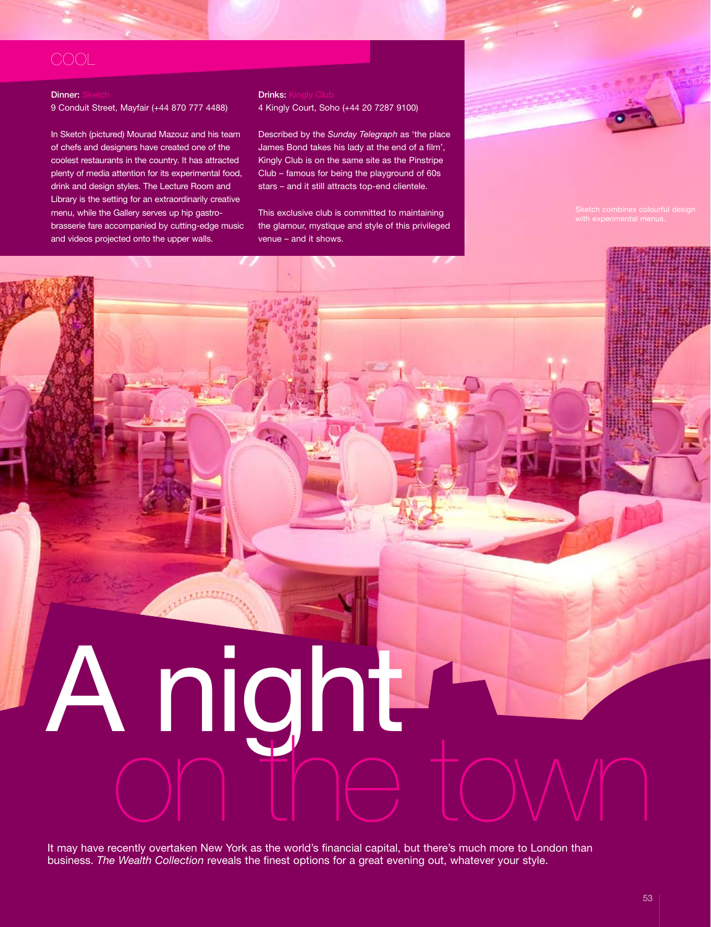# **COOL**

## **Dinner: Sketch**

9 Conduit Street, Mayfair (+44 870 777 4488)

In Sketch (pictured) Mourad Mazouz and his team of chefs and designers have created one of the coolest restaurants in the country. It has attracted plenty of media attention for its experimental food, drink and design styles. The Lecture Room and Library is the setting for an extraordinarily creative menu, while the Gallery serves up hip gastrobrasserie fare accompanied by cutting-edge music and videos projected onto the upper walls.

### **Drinks: Kingly Club** 4 Kingly Court, Soho (+44 20 7287 9100)

Described by the *Sunday Telegraph* as 'the place James Bond takes his lady at the end of a film', Kingly Club is on the same site as the Pinstripe Club – famous for being the playground of 60s stars – and it still attracts top-end clientele.

This exclusive club is committed to maintaining the glamour, mystique and style of this privileged venue – and it shows.

It may have recently overtaken New York as the world's financial capital, but there's much more to London than business. *The Wealth Collection* reveals the finest options for a great evening out, whatever your style.

on the town

A night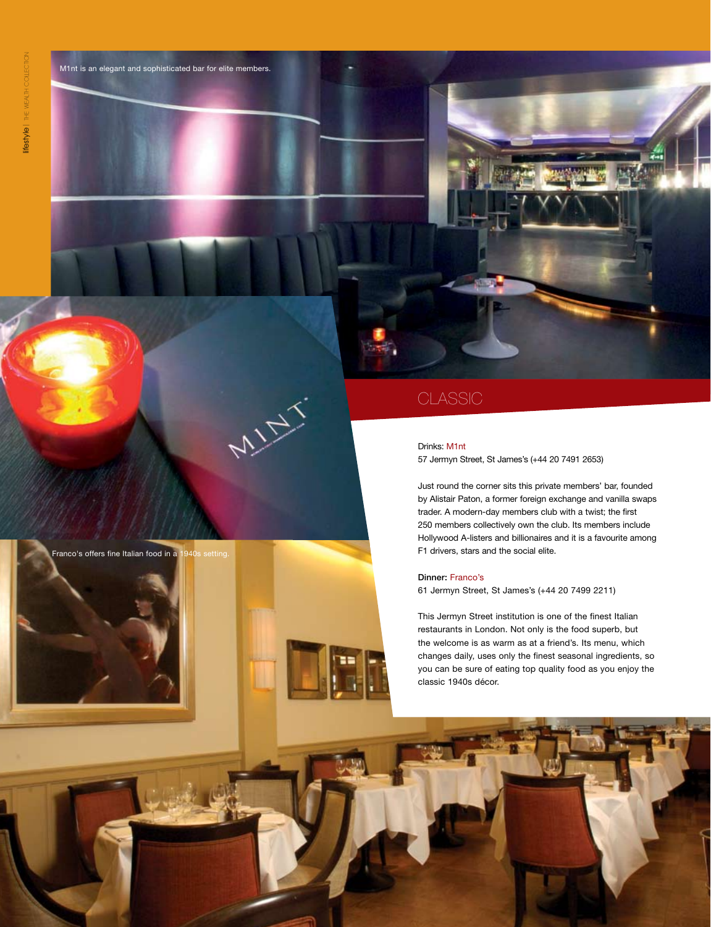

**MINT** 

M1nt is an elegant and sophisticated bar for elite members.

# **CLASSIC**

### Drinks: M1nt

57 Jermyn Street, St James's (+44 20 7491 2653)

Just round the corner sits this private members' bar, founded by Alistair Paton, a former foreign exchange and vanilla swaps trader. A modern-day members club with a twist; the first 250 members collectively own the club. Its members include Hollywood A-listers and billionaires and it is a favourite among F1 drivers, stars and the social elite.

Dinner: Franco's 61 Jermyn Street, St James's (+44 20 7499 2211)

This Jermyn Street institution is one of the finest Italian restaurants in London. Not only is the food superb, but the welcome is as warm as at a friend's. Its menu, which changes daily, uses only the finest seasonal ingredients, so you can be sure of eating top quality food as you enjoy the classic 1940s décor.